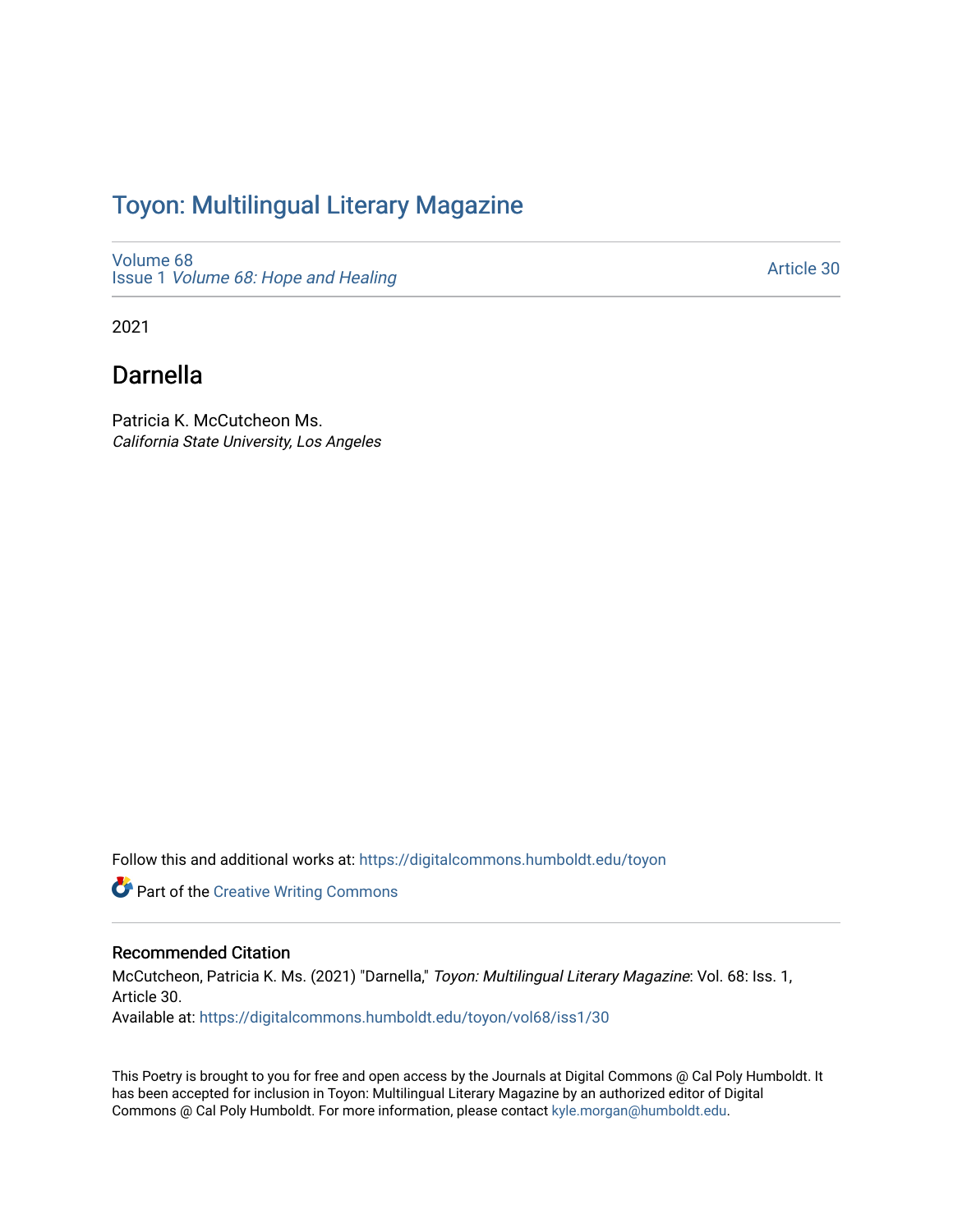## Toyon: Multilingual Literar[y](https://digitalcommons.humboldt.edu/toyon) Magazine

[Volume 68](https://digitalcommons.humboldt.edu/toyon/vol68) Issue 1 [Volume 68: Hope and Healing](https://digitalcommons.humboldt.edu/toyon/vol68/iss1) 

[Article 30](https://digitalcommons.humboldt.edu/toyon/vol68/iss1/30) 

2021

## Darnella

Patricia K. McCutcheon Ms. California State University, Los Angeles

Follow this and additional works at: [https://digitalcommons.humboldt.edu/toyon](https://digitalcommons.humboldt.edu/toyon?utm_source=digitalcommons.humboldt.edu%2Ftoyon%2Fvol68%2Fiss1%2F30&utm_medium=PDF&utm_campaign=PDFCoverPages)

**Part of the Creative Writing Commons** 

#### Recommended Citation

McCutcheon, Patricia K. Ms. (2021) "Darnella," Toyon: Multilingual Literary Magazine: Vol. 68: Iss. 1, Article 30. Available at: [https://digitalcommons.humboldt.edu/toyon/vol68/iss1/30](https://digitalcommons.humboldt.edu/toyon/vol68/iss1/30?utm_source=digitalcommons.humboldt.edu%2Ftoyon%2Fvol68%2Fiss1%2F30&utm_medium=PDF&utm_campaign=PDFCoverPages) 

This Poetry is brought to you for free and open access by the Journals at Digital Commons @ Cal Poly Humboldt. It has been accepted for inclusion in Toyon: Multilingual Literary Magazine by an authorized editor of Digital Commons @ Cal Poly Humboldt. For more information, please contact [kyle.morgan@humboldt.edu](mailto:kyle.morgan@humboldt.edu).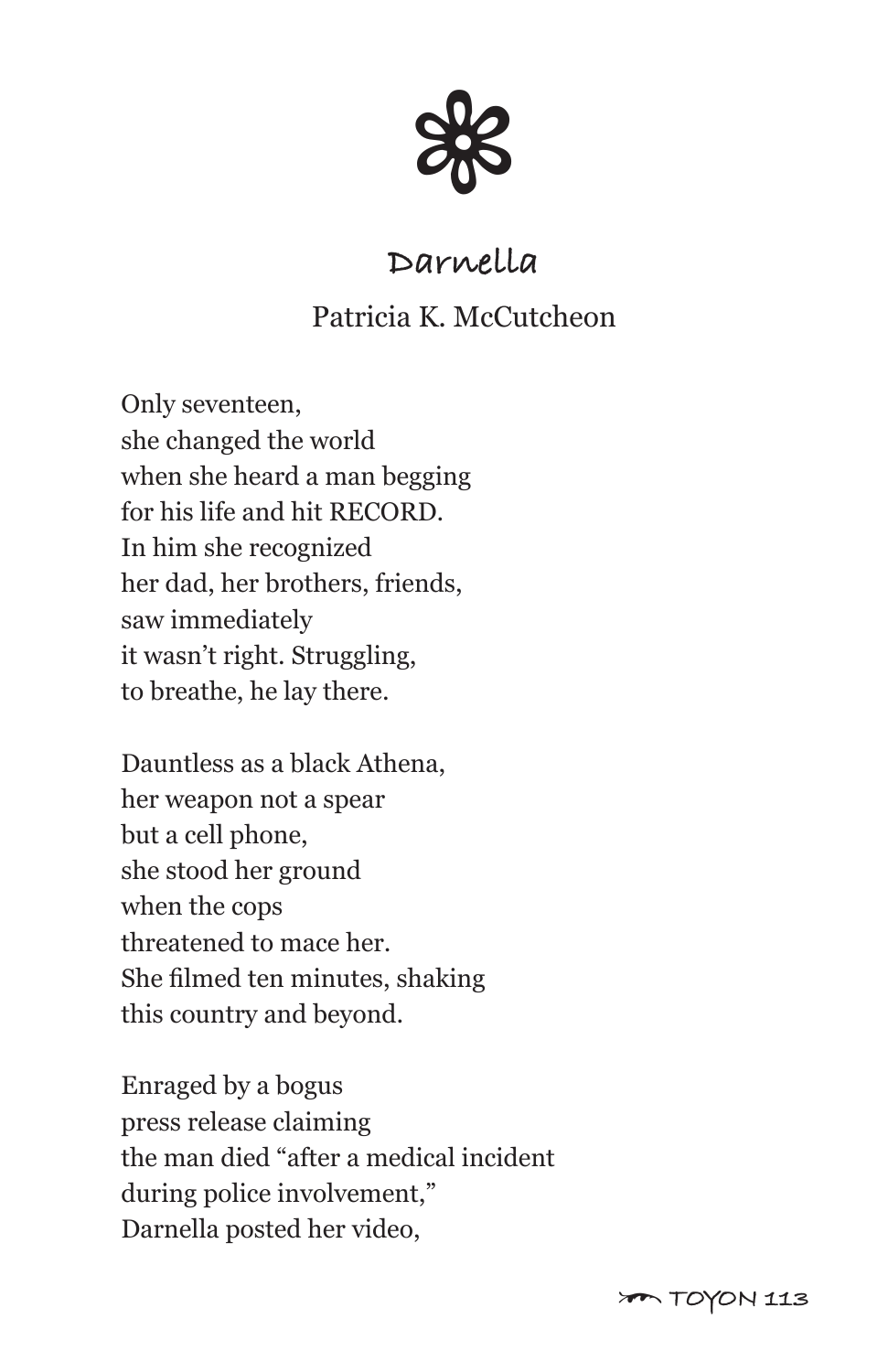

# **Darnella**

### Patricia K. McCutcheon

Only seventeen, she changed the world when she heard a man begging for his life and hit RECORD. In him she recognized her dad, her brothers, friends, saw immediately it wasn't right. Struggling, to breathe, he lay there.

Dauntless as a black Athena, her weapon not a spear but a cell phone, she stood her ground when the cops threatened to mace her. She filmed ten minutes, shaking this country and beyond.

Enraged by a bogus press release claiming the man died "after a medical incident during police involvement," Darnella posted her video,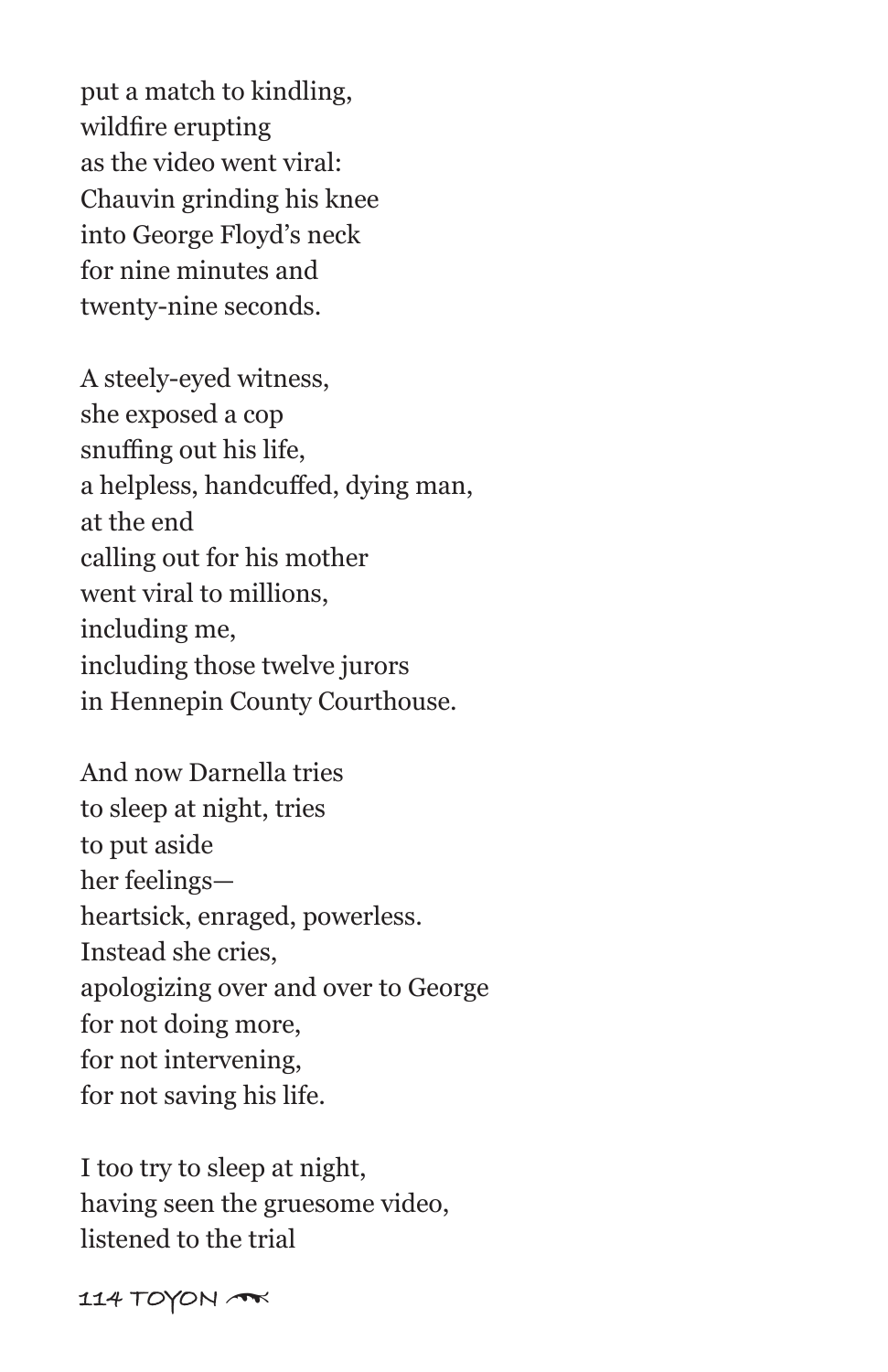put a match to kindling, wildfire erupting as the video went viral: Chauvin grinding his knee into George Floyd's neck for nine minutes and twenty-nine seconds.

A steely-eyed witness, she exposed a cop snuffing out his life, a helpless, handcuffed, dying man, at the end calling out for his mother went viral to millions, including me, including those twelve jurors in Hennepin County Courthouse.

And now Darnella tries to sleep at night, tries to put aside her feelings heartsick, enraged, powerless. Instead she cries, apologizing over and over to George for not doing more, for not intervening, for not saving his life.

I too try to sleep at night, having seen the gruesome video, listened to the trial

**114 TOYON** \